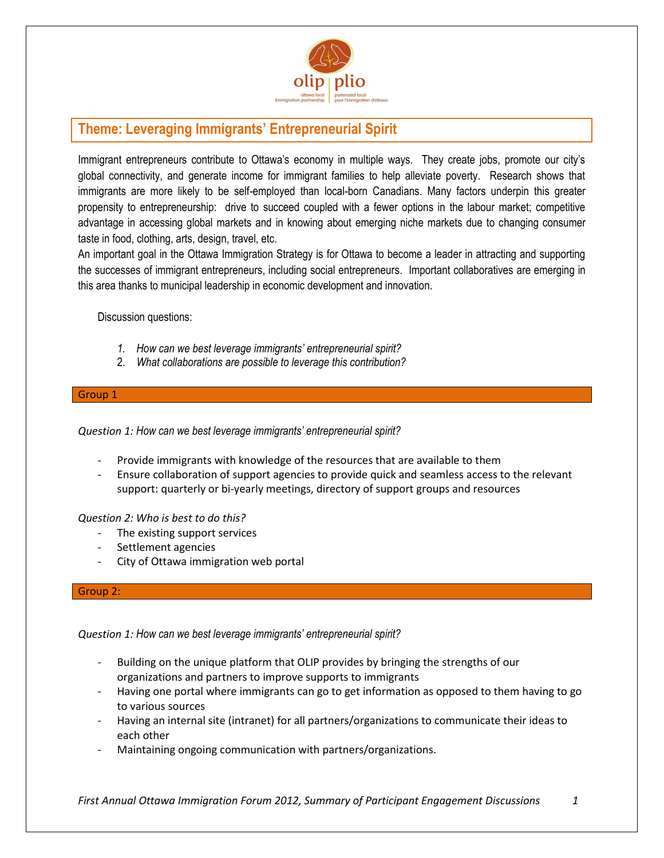

# **Theme: Leveraging Immigrants' Entrepreneurial Spirit**

Immigrant entrepreneurs contribute to Ottawa's economy in multiple ways. They create jobs, promote our city's global connectivity, and generate income for immigrant families to help alleviate poverty. Research shows that immigrants are more likely to be self-employed than local-born Canadians. Many factors underpin this greater propensity to entrepreneurship: drive to succeed coupled with a fewer options in the labour market; competitive advantage in accessing global markets and in knowing about emerging niche markets due to changing consumer taste in food, clothing, arts, design, travel, etc.

An important goal in the Ottawa Immigration Strategy is for Ottawa to become a leader in attracting and supporting the successes of immigrant entrepreneurs, including social entrepreneurs. Important collaboratives are emerging in this area thanks to municipal leadership in economic development and innovation.

Discussion questions:

- *1. How can we best leverage immigrants' entrepreneurial spirit?*
- 2. *What collaborations are possible to leverage this contribution?*

## Group 1

*Question 1: How can we best leverage immigrants' entrepreneurial spirit?* 

- Provide immigrants with knowledge of the resources that are available to them
- Ensure collaboration of support agencies to provide quick and seamless access to the relevant support: quarterly or bi-yearly meetings, directory of support groups and resources

*Question 2: Who is best to do this?*

- The existing support services
- Settlement agencies
- City of Ottawa immigration web portal

### Group 2:

*Question 1: How can we best leverage immigrants' entrepreneurial spirit?* 

- Building on the unique platform that OLIP provides by bringing the strengths of our organizations and partners to improve supports to immigrants
- Having one portal where immigrants can go to get information as opposed to them having to go to various sources
- Having an internal site (intranet) for all partners/organizations to communicate their ideas to each other
- Maintaining ongoing communication with partners/organizations.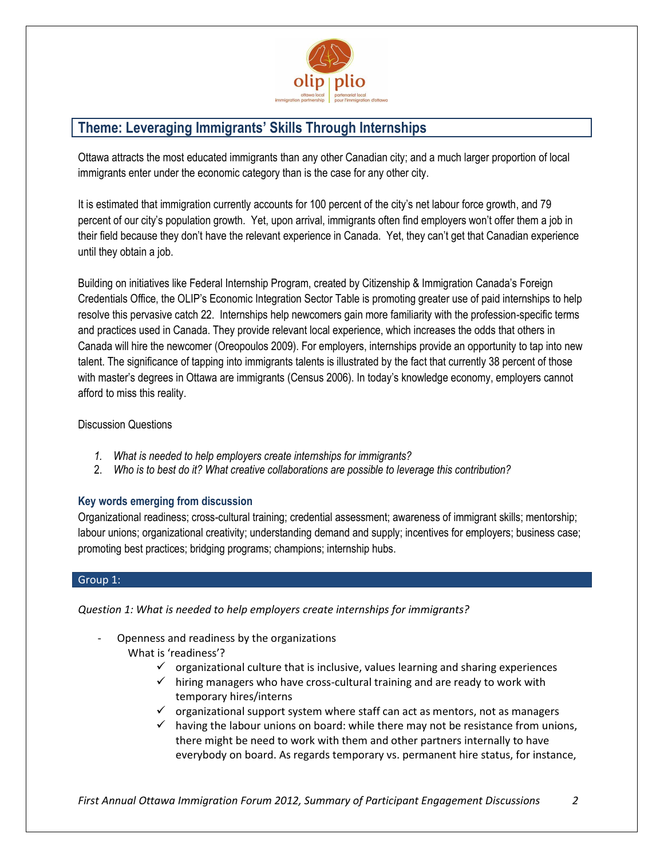

# **Theme: Leveraging Immigrants' Skills Through Internships**

Ottawa attracts the most educated immigrants than any other Canadian city; and a much larger proportion of local immigrants enter under the economic category than is the case for any other city.

It is estimated that immigration currently accounts for 100 percent of the city's net labour force growth, and 79 percent of our city's population growth. Yet, upon arrival, immigrants often find employers won't offer them a job in their field because they don't have the relevant experience in Canada. Yet, they can't get that Canadian experience until they obtain a job.

Building on initiatives like Federal Internship Program, created by Citizenship & Immigration Canada's Foreign Credentials Office, the OLIP's Economic Integration Sector Table is promoting greater use of paid internships to help resolve this pervasive catch 22. Internships help newcomers gain more familiarity with the profession-specific terms and practices used in Canada. They provide relevant local experience, which increases the odds that others in Canada will hire the newcomer (Oreopoulos 2009). For employers, internships provide an opportunity to tap into new talent. The significance of tapping into immigrants talents is illustrated by the fact that currently 38 percent of those with master's degrees in Ottawa are immigrants (Census 2006). In today's knowledge economy, employers cannot afford to miss this reality.

# Discussion Questions

- *1. What is needed to help employers create internships for immigrants?*
- 2. *Who is to best do it? What creative collaborations are possible to leverage this contribution?*

# **Key words emerging from discussion**

Organizational readiness; cross-cultural training; credential assessment; awareness of immigrant skills; mentorship; labour unions; organizational creativity; understanding demand and supply; incentives for employers; business case; promoting best practices; bridging programs; champions; internship hubs.

## Group 1:

*Question 1: What is needed to help employers create internships for immigrants?*

- Openness and readiness by the organizations What is 'readiness'?
	- $\checkmark$  organizational culture that is inclusive, values learning and sharing experiences
	- $\checkmark$  hiring managers who have cross-cultural training and are ready to work with temporary hires/interns
	- $\checkmark$  organizational support system where staff can act as mentors, not as managers
	- $\checkmark$  having the labour unions on board: while there may not be resistance from unions, there might be need to work with them and other partners internally to have everybody on board. As regards temporary vs. permanent hire status, for instance,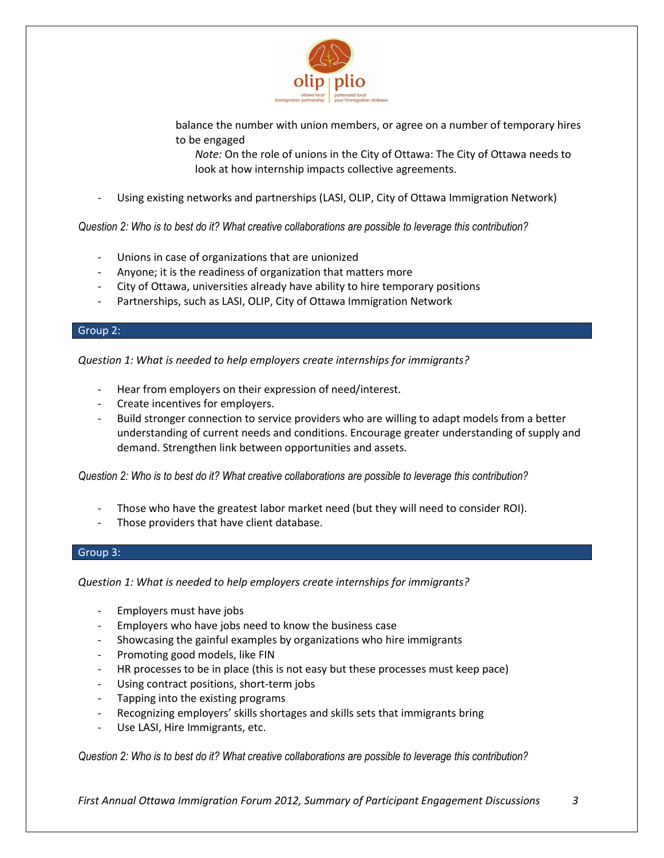

balance the number with union members, or agree on a number of temporary hires to be engaged

*Note:* On the role of unions in the City of Ottawa: The City of Ottawa needs to look at how internship impacts collective agreements.

Using existing networks and partnerships (LASI, OLIP, City of Ottawa Immigration Network)

*Question 2: Who is to best do it? What creative collaborations are possible to leverage this contribution?* 

- Unions in case of organizations that are unionized
- Anyone; it is the readiness of organization that matters more
- City of Ottawa, universities already have ability to hire temporary positions
- Partnerships, such as LASI, OLIP, City of Ottawa Immigration Network

# Group 2:

*Question 1: What is needed to help employers create internships for immigrants?*

- Hear from employers on their expression of need/interest.
- Create incentives for employers.
- Build stronger connection to service providers who are willing to adapt models from a better understanding of current needs and conditions. Encourage greater understanding of supply and demand. Strengthen link between opportunities and assets.

*Question 2: Who is to best do it? What creative collaborations are possible to leverage this contribution?* 

- Those who have the greatest labor market need (but they will need to consider ROI).
- Those providers that have client database.

### Group 3:

*Question 1: What is needed to help employers create internships for immigrants?*

- Employers must have jobs
- Employers who have jobs need to know the business case
- Showcasing the gainful examples by organizations who hire immigrants
- Promoting good models, like FIN
- HR processes to be in place (this is not easy but these processes must keep pace)
- Using contract positions, short-term jobs
- Tapping into the existing programs
- Recognizing employers' skills shortages and skills sets that immigrants bring
- Use LASI, Hire Immigrants, etc.

*Question 2: Who is to best do it? What creative collaborations are possible to leverage this contribution?*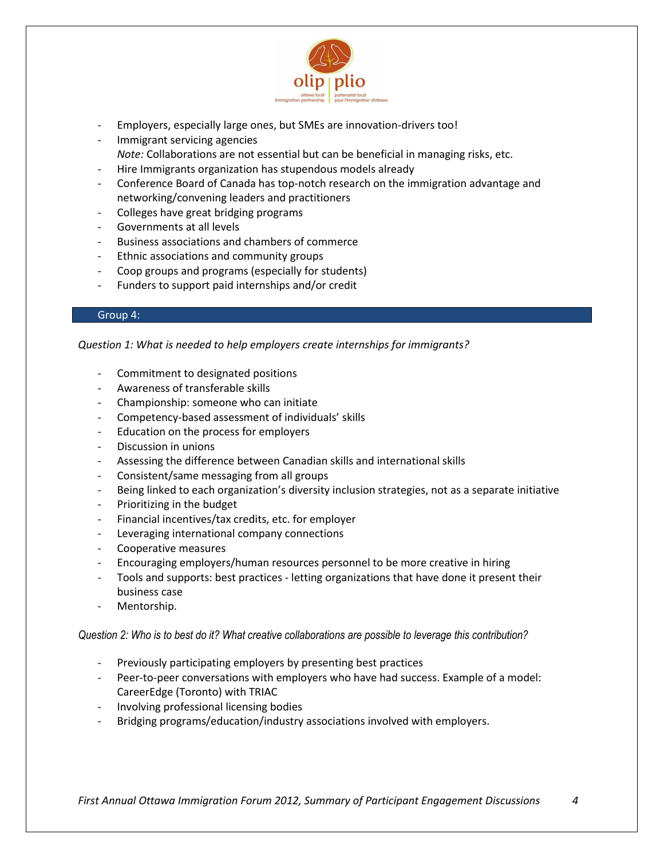

- Employers, especially large ones, but SMEs are innovation-drivers too!
- Immigrant servicing agencies *Note:* Collaborations are not essential but can be beneficial in managing risks, etc.
- Hire Immigrants organization has stupendous models already
- Conference Board of Canada has top-notch research on the immigration advantage and networking/convening leaders and practitioners
- Colleges have great bridging programs
- Governments at all levels
- Business associations and chambers of commerce
- Ethnic associations and community groups
- Coop groups and programs (especially for students)
- Funders to support paid internships and/or credit

### Group 4:

*Question 1: What is needed to help employers create internships for immigrants?*

- Commitment to designated positions
- Awareness of transferable skills
- Championship: someone who can initiate
- Competency-based assessment of individuals' skills
- Education on the process for employers
- Discussion in unions
- Assessing the difference between Canadian skills and international skills
- Consistent/same messaging from all groups
- Being linked to each organization's diversity inclusion strategies, not as a separate initiative
- Prioritizing in the budget
- Financial incentives/tax credits, etc. for employer
- Leveraging international company connections
- Cooperative measures
- Encouraging employers/human resources personnel to be more creative in hiring
- Tools and supports: best practices letting organizations that have done it present their business case
- Mentorship.

### *Question 2: Who is to best do it? What creative collaborations are possible to leverage this contribution?*

- Previously participating employers by presenting best practices
- Peer-to-peer conversations with employers who have had success. Example of a model: CareerEdge (Toronto) with TRIAC
- Involving professional licensing bodies
- Bridging programs/education/industry associations involved with employers.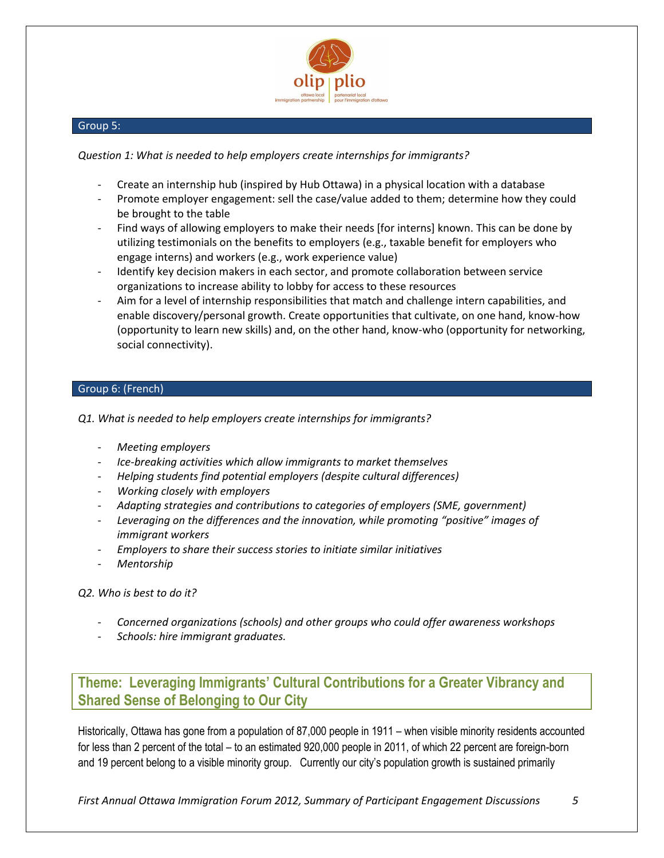

## Group 5:

# *Question 1: What is needed to help employers create internships for immigrants?*

- Create an internship hub (inspired by Hub Ottawa) in a physical location with a database
- Promote employer engagement: sell the case/value added to them; determine how they could be brought to the table
- Find ways of allowing employers to make their needs [for interns] known. This can be done by utilizing testimonials on the benefits to employers (e.g., taxable benefit for employers who engage interns) and workers (e.g., work experience value)
- Identify key decision makers in each sector, and promote collaboration between service organizations to increase ability to lobby for access to these resources
- Aim for a level of internship responsibilities that match and challenge intern capabilities, and enable discovery/personal growth. Create opportunities that cultivate, on one hand, know-how (opportunity to learn new skills) and, on the other hand, know-who (opportunity for networking, social connectivity).

# Group 6: (French)

*Q1. What is needed to help employers create internships for immigrants?*

- *Meeting employers*
- *Ice-breaking activities which allow immigrants to market themselves*
- *Helping students find potential employers (despite cultural differences)*
- *Working closely with employers*
- *Adapting strategies and contributions to categories of employers (SME, government)*
- *Leveraging on the differences and the innovation, while promoting "positive" images of immigrant workers*
- *Employers to share their success stories to initiate similar initiatives*
- *Mentorship*

*Q2. Who is best to do it?*

- *Concerned organizations (schools) and other groups who could offer awareness workshops*
- *Schools: hire immigrant graduates.*

**Theme: Leveraging Immigrants' Cultural Contributions for a Greater Vibrancy and Shared Sense of Belonging to Our City**

Historically, Ottawa has gone from a population of 87,000 people in 1911 – when visible minority residents accounted for less than 2 percent of the total – to an estimated 920,000 people in 2011, of which 22 percent are foreign-born and 19 percent belong to a visible minority group. Currently our city's population growth is sustained primarily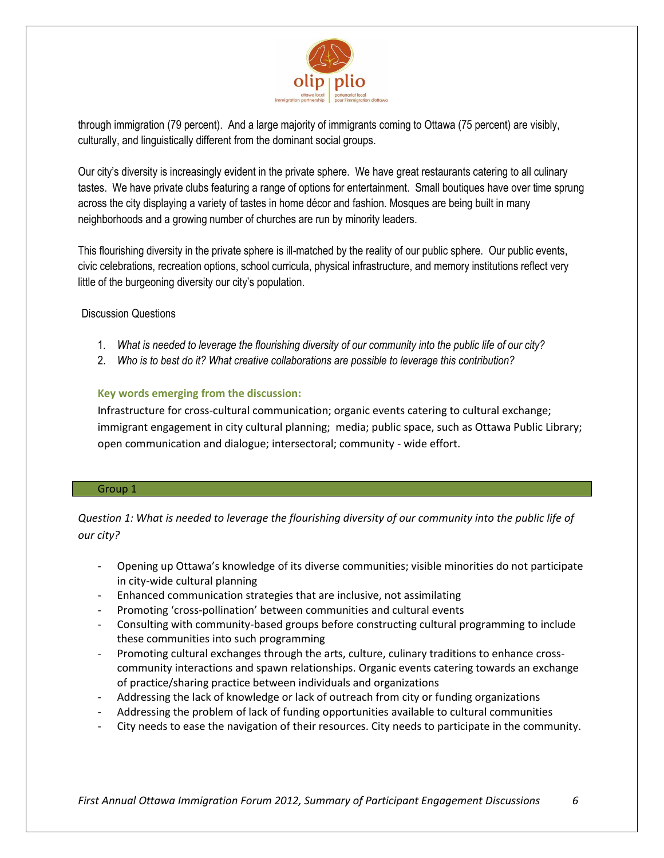

through immigration (79 percent). And a large majority of immigrants coming to Ottawa (75 percent) are visibly, culturally, and linguistically different from the dominant social groups.

Our city's diversity is increasingly evident in the private sphere. We have great restaurants catering to all culinary tastes. We have private clubs featuring a range of options for entertainment. Small boutiques have over time sprung across the city displaying a variety of tastes in home décor and fashion. Mosques are being built in many neighborhoods and a growing number of churches are run by minority leaders.

This flourishing diversity in the private sphere is ill-matched by the reality of our public sphere. Our public events, civic celebrations, recreation options, school curricula, physical infrastructure, and memory institutions reflect very little of the burgeoning diversity our city's population.

# Discussion Questions

- 1. *What is needed to leverage the flourishing diversity of our community into the public life of our city?*
- 2. *Who is to best do it? What creative collaborations are possible to leverage this contribution?*

# **Key words emerging from the discussion:**

Infrastructure for cross-cultural communication; organic events catering to cultural exchange; immigrant engagement in city cultural planning; media; public space, such as Ottawa Public Library; open communication and dialogue; intersectoral; community - wide effort.

### Group 1

*Question 1: What is needed to leverage the flourishing diversity of our community into the public life of our city?* 

- Opening up Ottawa's knowledge of its diverse communities; visible minorities do not participate in city-wide cultural planning
- Enhanced communication strategies that are inclusive, not assimilating
- Promoting 'cross-pollination' between communities and cultural events
- Consulting with community-based groups before constructing cultural programming to include these communities into such programming
- Promoting cultural exchanges through the arts, culture, culinary traditions to enhance crosscommunity interactions and spawn relationships. Organic events catering towards an exchange of practice/sharing practice between individuals and organizations
- Addressing the lack of knowledge or lack of outreach from city or funding organizations
- Addressing the problem of lack of funding opportunities available to cultural communities
- City needs to ease the navigation of their resources. City needs to participate in the community.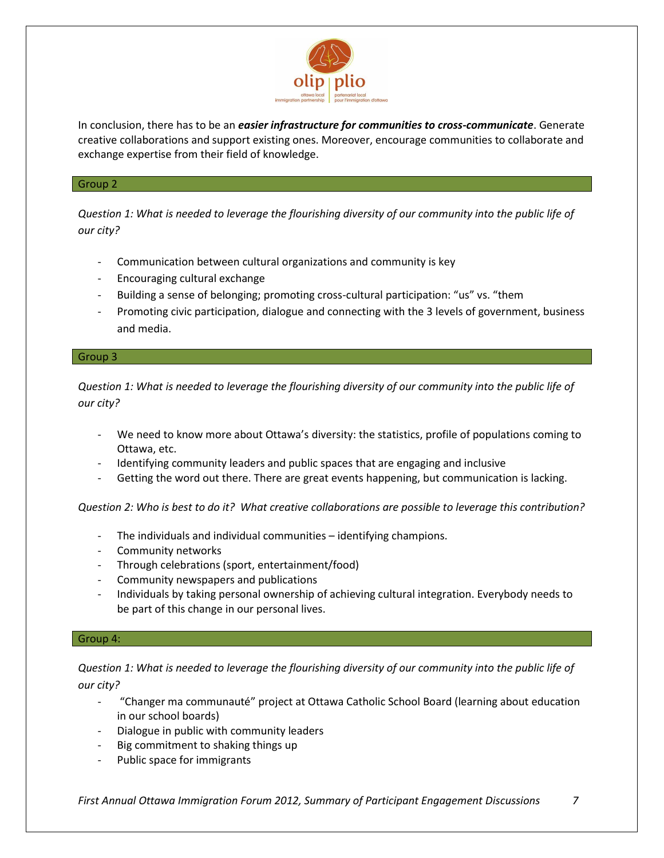

In conclusion, there has to be an *easier infrastructure for communities to cross-communicate*. Generate creative collaborations and support existing ones. Moreover, encourage communities to collaborate and exchange expertise from their field of knowledge.

## Group 2

*Question 1: What is needed to leverage the flourishing diversity of our community into the public life of our city?* 

- Communication between cultural organizations and community is key
- Encouraging cultural exchange
- Building a sense of belonging; promoting cross-cultural participation: "us" vs. "them
- Promoting civic participation, dialogue and connecting with the 3 levels of government, business and media.

## Group 3

*Question 1: What is needed to leverage the flourishing diversity of our community into the public life of our city?* 

- We need to know more about Ottawa's diversity: the statistics, profile of populations coming to Ottawa, etc.
- Identifying community leaders and public spaces that are engaging and inclusive
- Getting the word out there. There are great events happening, but communication is lacking.

*Question 2: Who is best to do it? What creative collaborations are possible to leverage this contribution?*

- The individuals and individual communities identifying champions.
- Community networks
- Through celebrations (sport, entertainment/food)
- Community newspapers and publications
- Individuals by taking personal ownership of achieving cultural integration. Everybody needs to be part of this change in our personal lives.

### Group 4:

# *Question 1: What is needed to leverage the flourishing diversity of our community into the public life of our city?*

- "Changer ma communauté" project at Ottawa Catholic School Board (learning about education in our school boards)
- Dialogue in public with community leaders
- Big commitment to shaking things up
- Public space for immigrants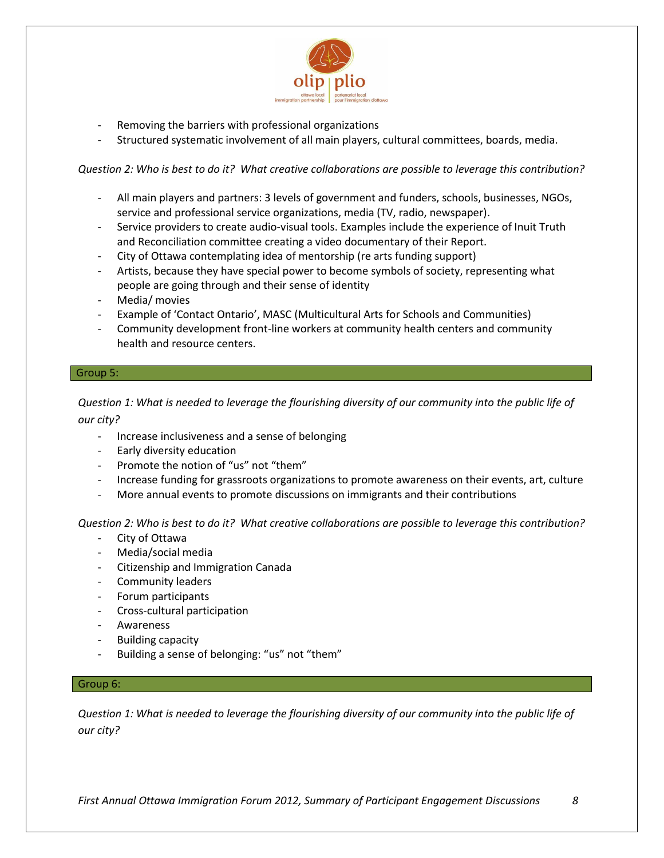

- Removing the barriers with professional organizations
- Structured systematic involvement of all main players, cultural committees, boards, media.

*Question 2: Who is best to do it? What creative collaborations are possible to leverage this contribution?*

- All main players and partners: 3 levels of government and funders, schools, businesses, NGOs, service and professional service organizations, media (TV, radio, newspaper).
- Service providers to create audio-visual tools. Examples include the experience of Inuit Truth and Reconciliation committee creating a video documentary of their Report.
- City of Ottawa contemplating idea of mentorship (re arts funding support)
- Artists, because they have special power to become symbols of society, representing what people are going through and their sense of identity
- Media/ movies
- Example of 'Contact Ontario', MASC (Multicultural Arts for Schools and Communities)
- Community development front-line workers at community health centers and community health and resource centers.

### Group 5:

*Question 1: What is needed to leverage the flourishing diversity of our community into the public life of our city?* 

- Increase inclusiveness and a sense of belonging
- Early diversity education
- Promote the notion of "us" not "them"
- Increase funding for grassroots organizations to promote awareness on their events, art, culture
- More annual events to promote discussions on immigrants and their contributions

*Question 2: Who is best to do it? What creative collaborations are possible to leverage this contribution?*

- City of Ottawa
- Media/social media
- Citizenship and Immigration Canada
- Community leaders
- Forum participants
- Cross-cultural participation
- Awareness
- Building capacity
- Building a sense of belonging: "us" not "them"

## Group 6:

*Question 1: What is needed to leverage the flourishing diversity of our community into the public life of our city?*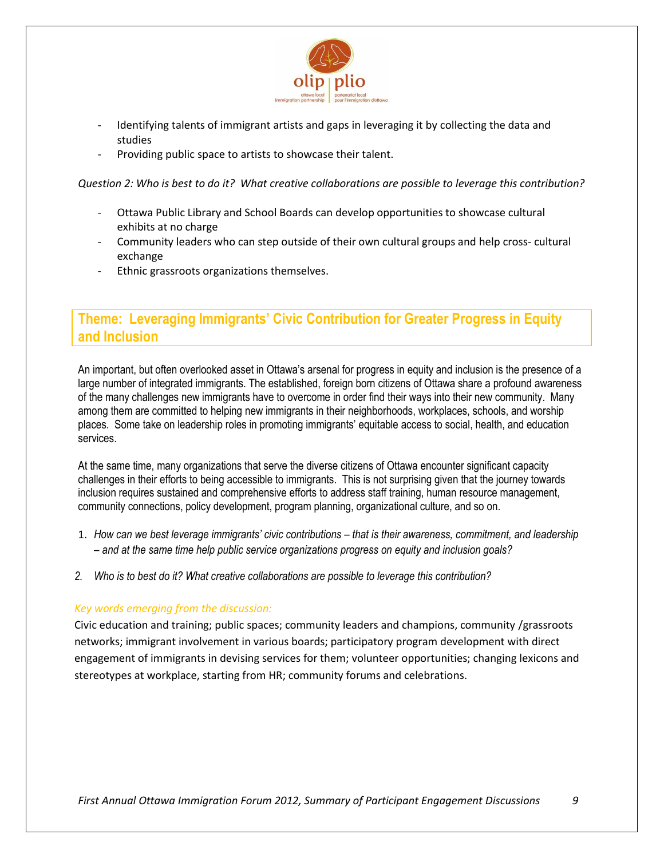

- Identifying talents of immigrant artists and gaps in leveraging it by collecting the data and studies
- Providing public space to artists to showcase their talent.

*Question 2: Who is best to do it? What creative collaborations are possible to leverage this contribution?*

- Ottawa Public Library and School Boards can develop opportunities to showcase cultural exhibits at no charge
- Community leaders who can step outside of their own cultural groups and help cross- cultural exchange
- Ethnic grassroots organizations themselves.

# **Theme: Leveraging Immigrants' Civic Contribution for Greater Progress in Equity and Inclusion**

An important, but often overlooked asset in Ottawa's arsenal for progress in equity and inclusion is the presence of a large number of integrated immigrants. The established, foreign born citizens of Ottawa share a profound awareness of the many challenges new immigrants have to overcome in order find their ways into their new community. Many among them are committed to helping new immigrants in their neighborhoods, workplaces, schools, and worship places. Some take on leadership roles in promoting immigrants' equitable access to social, health, and education services.

At the same time, many organizations that serve the diverse citizens of Ottawa encounter significant capacity challenges in their efforts to being accessible to immigrants. This is not surprising given that the journey towards inclusion requires sustained and comprehensive efforts to address staff training, human resource management, community connections, policy development, program planning, organizational culture, and so on.

- 1. *How can we best leverage immigrants' civic contributions – that is their awareness, commitment, and leadership – and at the same time help public service organizations progress on equity and inclusion goals?*
- *2. Who is to best do it? What creative collaborations are possible to leverage this contribution?*

# *Key words emerging from the discussion:*

Civic education and training; public spaces; community leaders and champions, community /grassroots networks; immigrant involvement in various boards; participatory program development with direct engagement of immigrants in devising services for them; volunteer opportunities; changing lexicons and stereotypes at workplace, starting from HR; community forums and celebrations.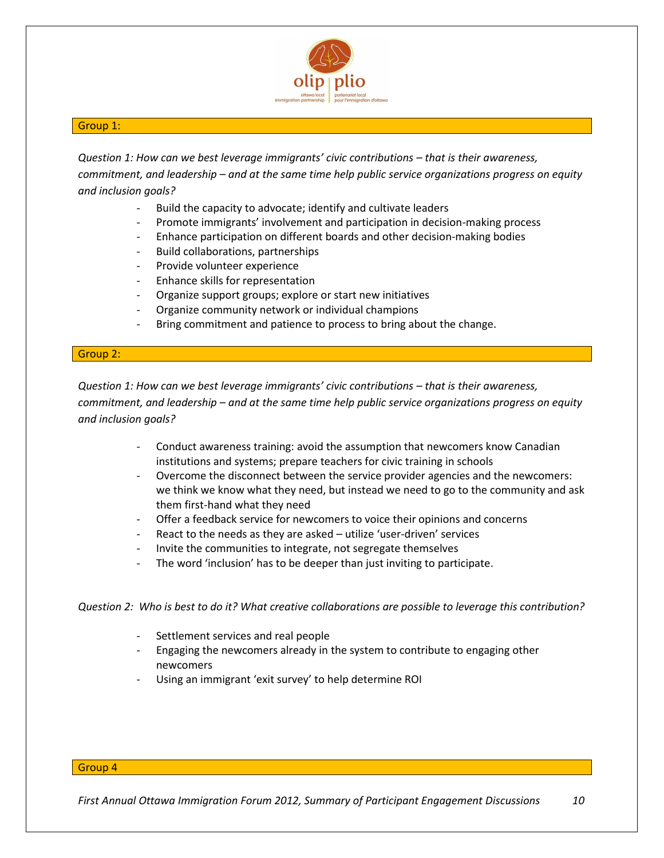

## Group 1:

*Question 1: How can we best leverage immigrants' civic contributions – that is their awareness, commitment, and leadership – and at the same time help public service organizations progress on equity and inclusion goals?*

- Build the capacity to advocate; identify and cultivate leaders
- Promote immigrants' involvement and participation in decision-making process
- Enhance participation on different boards and other decision-making bodies
- Build collaborations, partnerships
- Provide volunteer experience
- Enhance skills for representation
- Organize support groups; explore or start new initiatives
- Organize community network or individual champions
- Bring commitment and patience to process to bring about the change.

## Group 2:

*Question 1: How can we best leverage immigrants' civic contributions – that is their awareness, commitment, and leadership – and at the same time help public service organizations progress on equity and inclusion goals?*

- Conduct awareness training: avoid the assumption that newcomers know Canadian institutions and systems; prepare teachers for civic training in schools
- Overcome the disconnect between the service provider agencies and the newcomers: we think we know what they need, but instead we need to go to the community and ask them first-hand what they need
- Offer a feedback service for newcomers to voice their opinions and concerns
- React to the needs as they are asked utilize 'user-driven' services
- Invite the communities to integrate, not segregate themselves
- The word 'inclusion' has to be deeper than just inviting to participate.

*Question 2: Who is best to do it? What creative collaborations are possible to leverage this contribution?*

- Settlement services and real people
- Engaging the newcomers already in the system to contribute to engaging other newcomers
- Using an immigrant 'exit survey' to help determine ROI

#### Group 4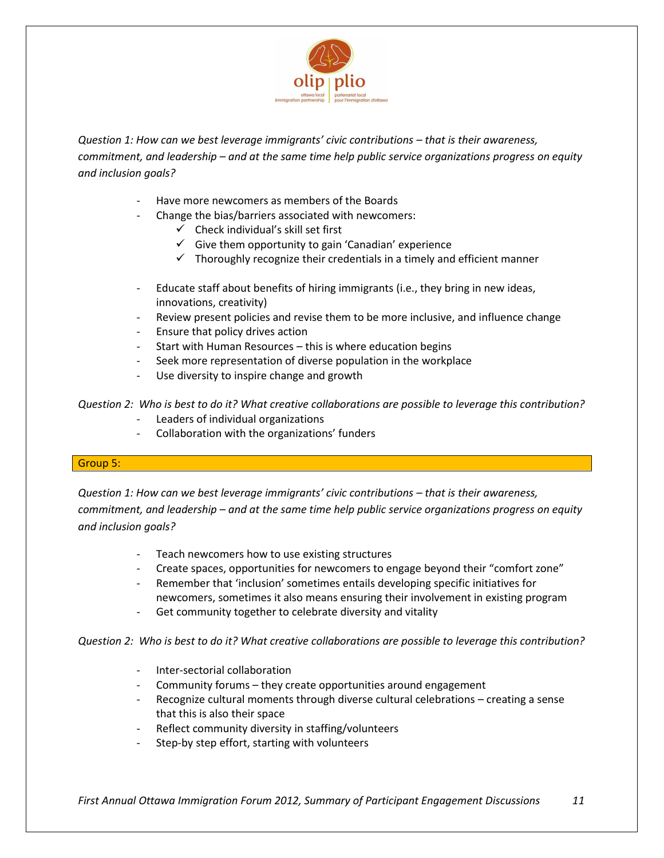

*Question 1: How can we best leverage immigrants' civic contributions – that is their awareness, commitment, and leadership – and at the same time help public service organizations progress on equity and inclusion goals?*

- Have more newcomers as members of the Boards
- Change the bias/barriers associated with newcomers:
	- $\checkmark$  Check individual's skill set first
	- $\checkmark$  Give them opportunity to gain 'Canadian' experience
	- $\checkmark$  Thoroughly recognize their credentials in a timely and efficient manner
- Educate staff about benefits of hiring immigrants (i.e., they bring in new ideas, innovations, creativity)
- Review present policies and revise them to be more inclusive, and influence change
- Ensure that policy drives action
- Start with Human Resources this is where education begins
- Seek more representation of diverse population in the workplace
- Use diversity to inspire change and growth

*Question 2: Who is best to do it? What creative collaborations are possible to leverage this contribution?*

- Leaders of individual organizations
- Collaboration with the organizations' funders

## Group 5:

*Question 1: How can we best leverage immigrants' civic contributions – that is their awareness, commitment, and leadership – and at the same time help public service organizations progress on equity and inclusion goals?*

- Teach newcomers how to use existing structures
- Create spaces, opportunities for newcomers to engage beyond their "comfort zone"
- Remember that 'inclusion' sometimes entails developing specific initiatives for newcomers, sometimes it also means ensuring their involvement in existing program
- Get community together to celebrate diversity and vitality

*Question 2: Who is best to do it? What creative collaborations are possible to leverage this contribution?*

- Inter-sectorial collaboration
- Community forums they create opportunities around engagement
- Recognize cultural moments through diverse cultural celebrations creating a sense that this is also their space
- Reflect community diversity in staffing/volunteers
- Step-by step effort, starting with volunteers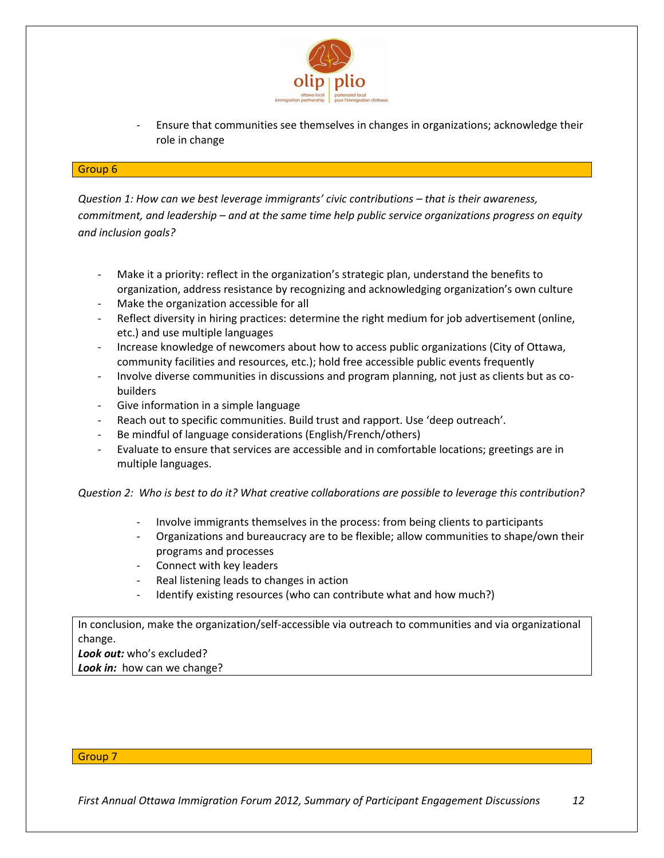

- Ensure that communities see themselves in changes in organizations; acknowledge their role in change

#### Group 6

*Question 1: How can we best leverage immigrants' civic contributions – that is their awareness, commitment, and leadership – and at the same time help public service organizations progress on equity and inclusion goals?*

- Make it a priority: reflect in the organization's strategic plan, understand the benefits to organization, address resistance by recognizing and acknowledging organization's own culture
- Make the organization accessible for all
- Reflect diversity in hiring practices: determine the right medium for job advertisement (online, etc.) and use multiple languages
- Increase knowledge of newcomers about how to access public organizations (City of Ottawa, community facilities and resources, etc.); hold free accessible public events frequently
- Involve diverse communities in discussions and program planning, not just as clients but as cobuilders
- Give information in a simple language
- Reach out to specific communities. Build trust and rapport. Use 'deep outreach'.
- Be mindful of language considerations (English/French/others)
- Evaluate to ensure that services are accessible and in comfortable locations; greetings are in multiple languages.

*Question 2: Who is best to do it? What creative collaborations are possible to leverage this contribution?*

- Involve immigrants themselves in the process: from being clients to participants
- Organizations and bureaucracy are to be flexible; allow communities to shape/own their programs and processes
- Connect with key leaders
- Real listening leads to changes in action
- Identify existing resources (who can contribute what and how much?)

In conclusion, make the organization/self-accessible via outreach to communities and via organizational change.

*Look out:* who's excluded?

*Look in:* how can we change?

### Group 7